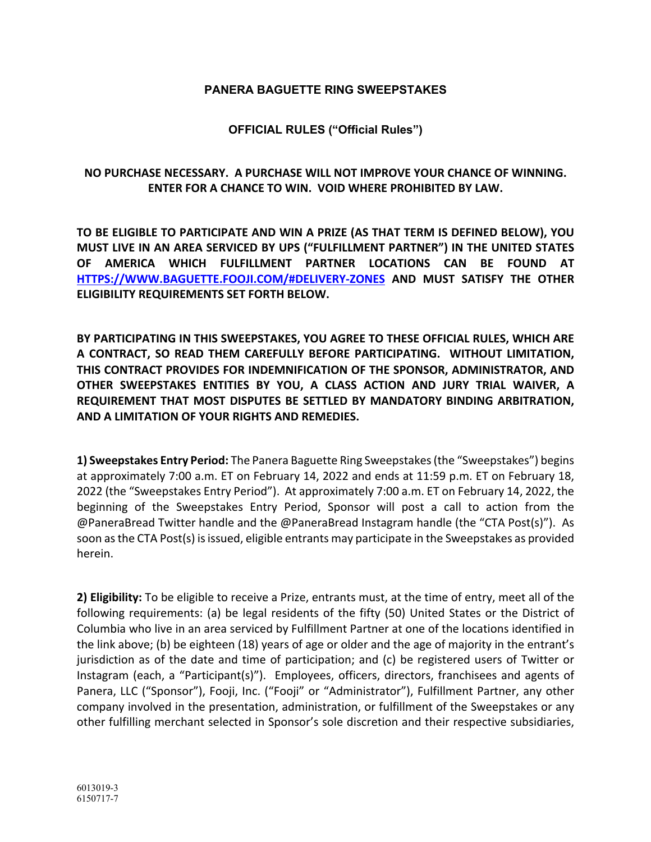## **PANERA BAGUETTE RING SWEEPSTAKES**

**OFFICIAL RULES ("Official Rules")**

## **NO PURCHASE NECESSARY. A PURCHASE WILL NOT IMPROVE YOUR CHANCE OF WINNING. ENTER FOR A CHANCE TO WIN. VOID WHERE PROHIBITED BY LAW.**

**TO BE ELIGIBLE TO PARTICIPATE AND WIN A PRIZE (AS THAT TERM IS DEFINED BELOW), YOU MUST LIVE IN AN AREA SERVICED BY UPS ("FULFILLMENT PARTNER") IN THE UNITED STATES OF AMERICA WHICH FULFILLMENT PARTNER LOCATIONS CAN BE FOUND AT HTTPS://WWW.BAGUETTE.FOOJI.COM/#DELIVERY-ZONES AND MUST SATISFY THE OTHER ELIGIBILITY REQUIREMENTS SET FORTH BELOW.**

**BY PARTICIPATING IN THIS SWEEPSTAKES, YOU AGREE TO THESE OFFICIAL RULES, WHICH ARE A CONTRACT, SO READ THEM CAREFULLY BEFORE PARTICIPATING. WITHOUT LIMITATION, THIS CONTRACT PROVIDES FOR INDEMNIFICATION OF THE SPONSOR, ADMINISTRATOR, AND OTHER SWEEPSTAKES ENTITIES BY YOU, A CLASS ACTION AND JURY TRIAL WAIVER, A REQUIREMENT THAT MOST DISPUTES BE SETTLED BY MANDATORY BINDING ARBITRATION, AND A LIMITATION OF YOUR RIGHTS AND REMEDIES.**

**1) Sweepstakes Entry Period:** The Panera Baguette Ring Sweepstakes (the "Sweepstakes") begins at approximately 7:00 a.m. ET on February 14, 2022 and ends at 11:59 p.m. ET on February 18, 2022 (the "Sweepstakes Entry Period"). At approximately 7:00 a.m. ET on February 14, 2022, the beginning of the Sweepstakes Entry Period, Sponsor will post a call to action from the @PaneraBread Twitter handle and the @PaneraBread Instagram handle (the "CTA Post(s)"). As soon as the CTA Post(s) is issued, eligible entrants may participate in the Sweepstakes as provided herein.

**2) Eligibility:** To be eligible to receive a Prize, entrants must, at the time of entry, meet all of the following requirements: (a) be legal residents of the fifty (50) United States or the District of Columbia who live in an area serviced by Fulfillment Partner at one of the locations identified in the link above; (b) be eighteen (18) years of age or older and the age of majority in the entrant's jurisdiction as of the date and time of participation; and (c) be registered users of Twitter or Instagram (each, a "Participant(s)"). Employees, officers, directors, franchisees and agents of Panera, LLC ("Sponsor"), Fooji, Inc. ("Fooji" or "Administrator"), Fulfillment Partner, any other company involved in the presentation, administration, or fulfillment of the Sweepstakes or any other fulfilling merchant selected in Sponsor's sole discretion and their respective subsidiaries,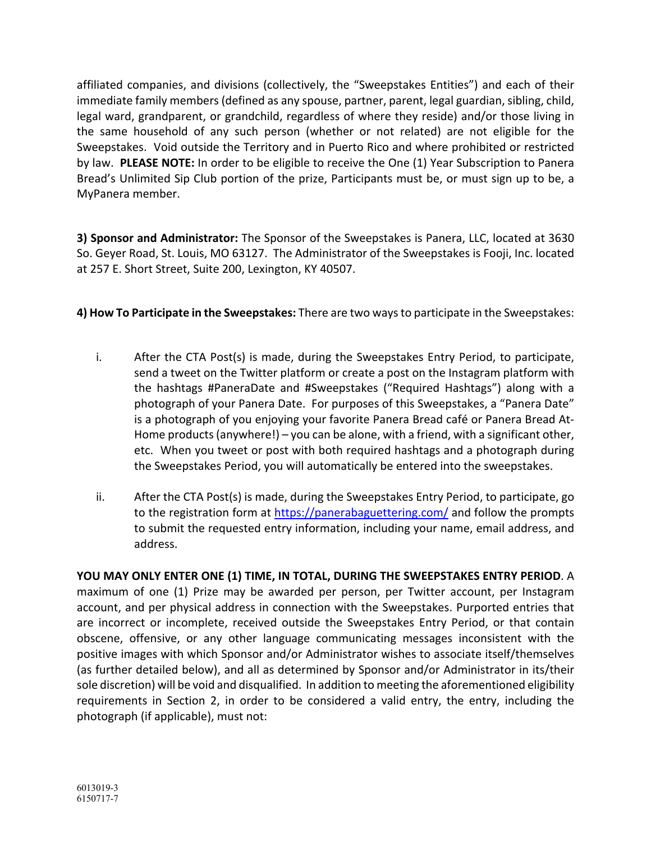affiliated companies, and divisions (collectively, the "Sweepstakes Entities") and each of their immediate family members (defined as any spouse, partner, parent, legal guardian, sibling, child, legal ward, grandparent, or grandchild, regardless of where they reside) and/or those living in the same household of any such person (whether or not related) are not eligible for the Sweepstakes. Void outside the Territory and in Puerto Rico and where prohibited or restricted by law. **PLEASE NOTE:** In order to be eligible to receive the One (1) Year Subscription to Panera Bread's Unlimited Sip Club portion of the prize, Participants must be, or must sign up to be, a MyPanera member.

**3) Sponsor and Administrator:** The Sponsor of the Sweepstakes is Panera, LLC, located at 3630 So. Geyer Road, St. Louis, MO 63127. The Administrator of the Sweepstakes is Fooji, Inc. located at 257 E. Short Street, Suite 200, Lexington, KY 40507.

**4) How To Participate in the Sweepstakes:** There are two ways to participate in the Sweepstakes:

- i. After the CTA Post(s) is made, during the Sweepstakes Entry Period, to participate, send a tweet on the Twitter platform or create a post on the Instagram platform with the hashtags #PaneraDate and #Sweepstakes ("Required Hashtags") along with a photograph of your Panera Date. For purposes of this Sweepstakes, a "Panera Date" is a photograph of you enjoying your favorite Panera Bread café or Panera Bread At-Home products (anywhere!) – you can be alone, with a friend, with a significant other, etc. When you tweet or post with both required hashtags and a photograph during the Sweepstakes Period, you will automatically be entered into the sweepstakes.
- ii. After the CTA Post(s) is made, during the Sweepstakes Entry Period, to participate, go to the registration form at https://panerabaguettering.com/ and follow the prompts to submit the requested entry information, including your name, email address, and address.

**YOU MAY ONLY ENTER ONE (1) TIME, IN TOTAL, DURING THE SWEEPSTAKES ENTRY PERIOD**. A maximum of one (1) Prize may be awarded per person, per Twitter account, per Instagram account, and per physical address in connection with the Sweepstakes. Purported entries that are incorrect or incomplete, received outside the Sweepstakes Entry Period, or that contain obscene, offensive, or any other language communicating messages inconsistent with the positive images with which Sponsor and/or Administrator wishes to associate itself/themselves (as further detailed below), and all as determined by Sponsor and/or Administrator in its/their sole discretion) will be void and disqualified. In addition to meeting the aforementioned eligibility requirements in Section 2, in order to be considered a valid entry, the entry, including the photograph (if applicable), must not: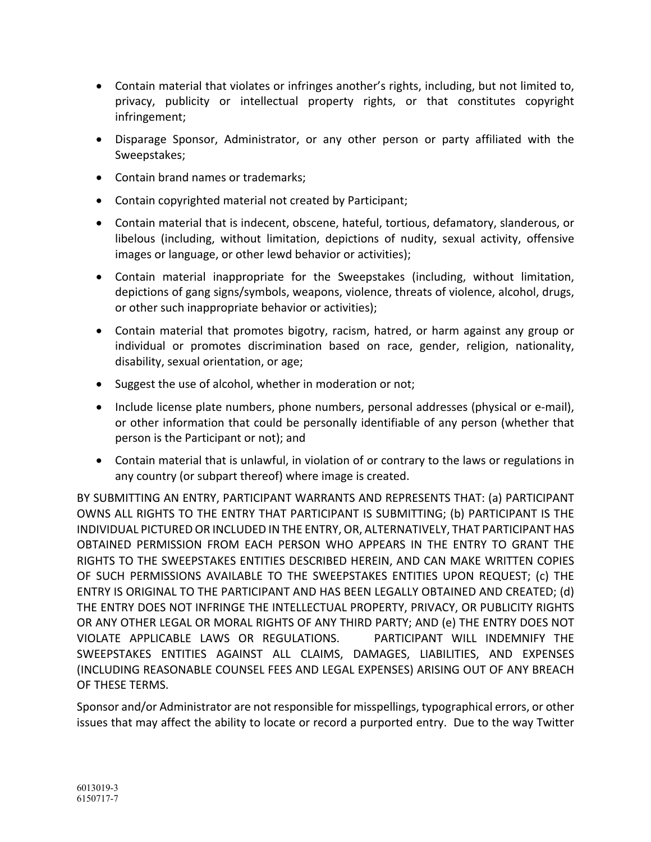- Contain material that violates or infringes another's rights, including, but not limited to, privacy, publicity or intellectual property rights, or that constitutes copyright infringement;
- Disparage Sponsor, Administrator, or any other person or party affiliated with the Sweepstakes;
- Contain brand names or trademarks;
- Contain copyrighted material not created by Participant;
- Contain material that is indecent, obscene, hateful, tortious, defamatory, slanderous, or libelous (including, without limitation, depictions of nudity, sexual activity, offensive images or language, or other lewd behavior or activities);
- Contain material inappropriate for the Sweepstakes (including, without limitation, depictions of gang signs/symbols, weapons, violence, threats of violence, alcohol, drugs, or other such inappropriate behavior or activities);
- Contain material that promotes bigotry, racism, hatred, or harm against any group or individual or promotes discrimination based on race, gender, religion, nationality, disability, sexual orientation, or age;
- Suggest the use of alcohol, whether in moderation or not;
- Include license plate numbers, phone numbers, personal addresses (physical or e-mail), or other information that could be personally identifiable of any person (whether that person is the Participant or not); and
- Contain material that is unlawful, in violation of or contrary to the laws or regulations in any country (or subpart thereof) where image is created.

BY SUBMITTING AN ENTRY, PARTICIPANT WARRANTS AND REPRESENTS THAT: (a) PARTICIPANT OWNS ALL RIGHTS TO THE ENTRY THAT PARTICIPANT IS SUBMITTING; (b) PARTICIPANT IS THE INDIVIDUAL PICTURED OR INCLUDED IN THE ENTRY, OR, ALTERNATIVELY, THAT PARTICIPANT HAS OBTAINED PERMISSION FROM EACH PERSON WHO APPEARS IN THE ENTRY TO GRANT THE RIGHTS TO THE SWEEPSTAKES ENTITIES DESCRIBED HEREIN, AND CAN MAKE WRITTEN COPIES OF SUCH PERMISSIONS AVAILABLE TO THE SWEEPSTAKES ENTITIES UPON REQUEST; (c) THE ENTRY IS ORIGINAL TO THE PARTICIPANT AND HAS BEEN LEGALLY OBTAINED AND CREATED; (d) THE ENTRY DOES NOT INFRINGE THE INTELLECTUAL PROPERTY, PRIVACY, OR PUBLICITY RIGHTS OR ANY OTHER LEGAL OR MORAL RIGHTS OF ANY THIRD PARTY; AND (e) THE ENTRY DOES NOT VIOLATE APPLICABLE LAWS OR REGULATIONS. PARTICIPANT WILL INDEMNIFY THE SWEEPSTAKES ENTITIES AGAINST ALL CLAIMS, DAMAGES, LIABILITIES, AND EXPENSES (INCLUDING REASONABLE COUNSEL FEES AND LEGAL EXPENSES) ARISING OUT OF ANY BREACH OF THESE TERMS.

Sponsor and/or Administrator are not responsible for misspellings, typographical errors, or other issues that may affect the ability to locate or record a purported entry. Due to the way Twitter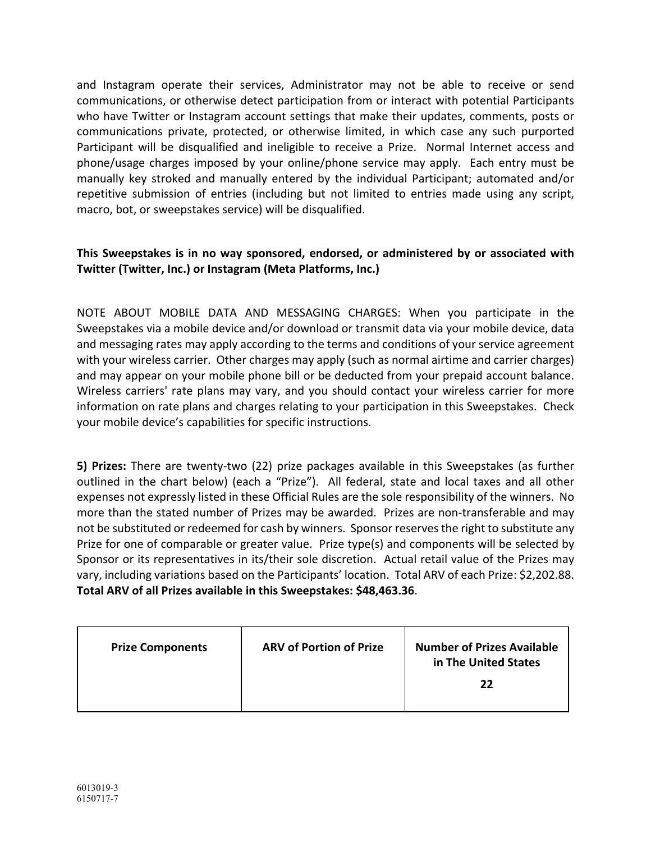and Instagram operate their services, Administrator may not be able to receive or send communications, or otherwise detect participation from or interact with potential Participants who have Twitter or Instagram account settings that make their updates, comments, posts or communications private, protected, or otherwise limited, in which case any such purported Participant will be disqualified and ineligible to receive a Prize. Normal Internet access and phone/usage charges imposed by your online/phone service may apply. Each entry must be manually key stroked and manually entered by the individual Participant; automated and/or repetitive submission of entries (including but not limited to entries made using any script, macro, bot, or sweepstakes service) will be disqualified.

## **This Sweepstakes is in no way sponsored, endorsed, or administered by or associated with Twitter (Twitter, Inc.) or Instagram (Meta Platforms, Inc.)**

NOTE ABOUT MOBILE DATA AND MESSAGING CHARGES: When you participate in the Sweepstakes via a mobile device and/or download or transmit data via your mobile device, data and messaging rates may apply according to the terms and conditions of your service agreement with your wireless carrier. Other charges may apply (such as normal airtime and carrier charges) and may appear on your mobile phone bill or be deducted from your prepaid account balance. Wireless carriers' rate plans may vary, and you should contact your wireless carrier for more information on rate plans and charges relating to your participation in this Sweepstakes. Check your mobile device's capabilities for specific instructions.

**5) Prizes:** There are twenty-two (22) prize packages available in this Sweepstakes (as further outlined in the chart below) (each a "Prize"). All federal, state and local taxes and all other expenses not expressly listed in these Official Rules are the sole responsibility of the winners. No more than the stated number of Prizes may be awarded. Prizes are non-transferable and may not be substituted or redeemed for cash by winners. Sponsor reserves the right to substitute any Prize for one of comparable or greater value. Prize type(s) and components will be selected by Sponsor or its representatives in its/their sole discretion. Actual retail value of the Prizes may vary, including variations based on the Participants' location. Total ARV of each Prize: \$2,202.88. **Total ARV of all Prizes available in this Sweepstakes: \$48,463.36**.

| <b>Prize Components</b> | <b>ARV of Portion of Prize</b> | <b>Number of Prizes Available</b><br>in The United States<br>22 |
|-------------------------|--------------------------------|-----------------------------------------------------------------|
|-------------------------|--------------------------------|-----------------------------------------------------------------|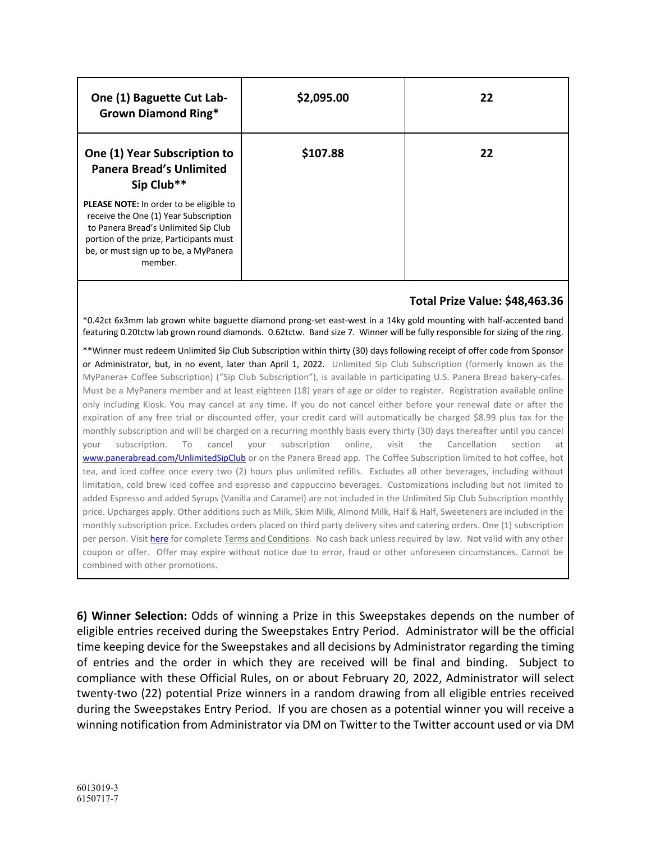| One (1) Baguette Cut Lab-<br><b>Grown Diamond Ring*</b>                                                                                                                                                                 | \$2,095.00 | 22 |
|-------------------------------------------------------------------------------------------------------------------------------------------------------------------------------------------------------------------------|------------|----|
| One (1) Year Subscription to<br><b>Panera Bread's Unlimited</b><br>Sip Club**                                                                                                                                           | \$107.88   | 22 |
| PLEASE NOTE: In order to be eligible to<br>receive the One (1) Year Subscription<br>to Panera Bread's Unlimited Sip Club<br>portion of the prize, Participants must<br>be, or must sign up to be, a MyPanera<br>member. |            |    |

## **Total Prize Value: \$48,463.36**

\*0.42ct 6x3mm lab grown white baguette diamond prong-set east-west in a 14ky gold mounting with half-accented band featuring 0.20tctw lab grown round diamonds. 0.62tctw. Band size 7. Winner will be fully responsible for sizing of the ring.

\*\*Winner must redeem Unlimited Sip Club Subscription within thirty (30) days following receipt of offer code from Sponsor or Administrator, but, in no event, later than April 1, 2022. Unlimited Sip Club Subscription (formerly known as the MyPanera+ Coffee Subscription) ("Sip Club Subscription"), is available in participating U.S. Panera Bread bakery-cafes. Must be a MyPanera member and at least eighteen (18) years of age or older to register. Registration available online only including Kiosk. You may cancel at any time. If you do not cancel either before your renewal date or after the expiration of any free trial or discounted offer, your credit card will automatically be charged \$8.99 plus tax for the monthly subscription and will be charged on a recurring monthly basis every thirty (30) days thereafter until you cancel your subscription. To cancel your subscription online, visit the Cancellation section at www.panerabread.com/UnlimitedSipClub or on the Panera Bread app. The Coffee Subscription limited to hot coffee, hot tea, and iced coffee once every two (2) hours plus unlimited refills. Excludes all other beverages, including without limitation, cold brew iced coffee and espresso and cappuccino beverages. Customizations including but not limited to added Espresso and added Syrups (Vanilla and Caramel) are not included in the Unlimited Sip Club Subscription monthly price. Upcharges apply. Other additions such as Milk, Skim Milk, Almond Milk, Half & Half, Sweeteners are included in the monthly subscription price. Excludes orders placed on third party delivery sites and catering orders. One (1) subscription per person. Visit here for complete Terms and Conditions. No cash back unless required by law. Not valid with any other coupon or offer. Offer may expire without notice due to error, fraud or other unforeseen circumstances. Cannot be combined with other promotions.

**6) Winner Selection:** Odds of winning a Prize in this Sweepstakes depends on the number of eligible entries received during the Sweepstakes Entry Period. Administrator will be the official time keeping device for the Sweepstakes and all decisions by Administrator regarding the timing of entries and the order in which they are received will be final and binding. Subject to compliance with these Official Rules, on or about February 20, 2022, Administrator will select twenty-two (22) potential Prize winners in a random drawing from all eligible entries received during the Sweepstakes Entry Period. If you are chosen as a potential winner you will receive a winning notification from Administrator via DM on Twitter to the Twitter account used or via DM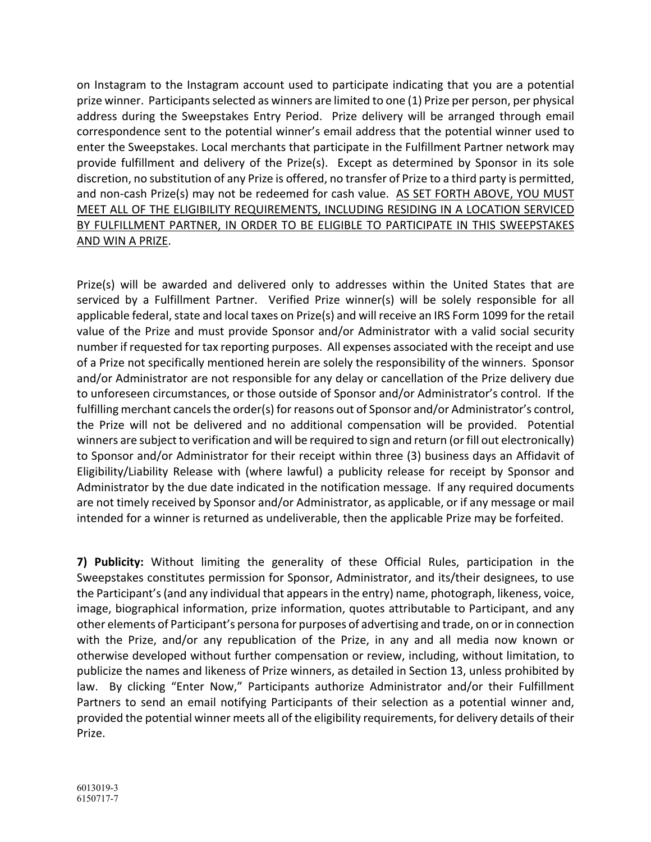on Instagram to the Instagram account used to participate indicating that you are a potential prize winner. Participants selected as winners are limited to one (1) Prize per person, per physical address during the Sweepstakes Entry Period. Prize delivery will be arranged through email correspondence sent to the potential winner's email address that the potential winner used to enter the Sweepstakes. Local merchants that participate in the Fulfillment Partner network may provide fulfillment and delivery of the Prize(s). Except as determined by Sponsor in its sole discretion, no substitution of any Prize is offered, no transfer of Prize to a third party is permitted, and non-cash Prize(s) may not be redeemed for cash value. AS SET FORTH ABOVE, YOU MUST MEET ALL OF THE ELIGIBILITY REQUIREMENTS, INCLUDING RESIDING IN A LOCATION SERVICED BY FULFILLMENT PARTNER, IN ORDER TO BE ELIGIBLE TO PARTICIPATE IN THIS SWEEPSTAKES AND WIN A PRIZE.

Prize(s) will be awarded and delivered only to addresses within the United States that are serviced by a Fulfillment Partner. Verified Prize winner(s) will be solely responsible for all applicable federal, state and local taxes on Prize(s) and will receive an IRS Form 1099 for the retail value of the Prize and must provide Sponsor and/or Administrator with a valid social security number if requested for tax reporting purposes. All expenses associated with the receipt and use of a Prize not specifically mentioned herein are solely the responsibility of the winners. Sponsor and/or Administrator are not responsible for any delay or cancellation of the Prize delivery due to unforeseen circumstances, or those outside of Sponsor and/or Administrator's control. If the fulfilling merchant cancels the order(s) for reasons out of Sponsor and/or Administrator's control, the Prize will not be delivered and no additional compensation will be provided. Potential winners are subject to verification and will be required to sign and return (or fill out electronically) to Sponsor and/or Administrator for their receipt within three (3) business days an Affidavit of Eligibility/Liability Release with (where lawful) a publicity release for receipt by Sponsor and Administrator by the due date indicated in the notification message. If any required documents are not timely received by Sponsor and/or Administrator, as applicable, or if any message or mail intended for a winner is returned as undeliverable, then the applicable Prize may be forfeited.

**7) Publicity:** Without limiting the generality of these Official Rules, participation in the Sweepstakes constitutes permission for Sponsor, Administrator, and its/their designees, to use the Participant's (and any individual that appears in the entry) name, photograph, likeness, voice, image, biographical information, prize information, quotes attributable to Participant, and any other elements of Participant's persona for purposes of advertising and trade, on or in connection with the Prize, and/or any republication of the Prize, in any and all media now known or otherwise developed without further compensation or review, including, without limitation, to publicize the names and likeness of Prize winners, as detailed in Section 13, unless prohibited by law. By clicking "Enter Now," Participants authorize Administrator and/or their Fulfillment Partners to send an email notifying Participants of their selection as a potential winner and, provided the potential winner meets all of the eligibility requirements, for delivery details of their Prize.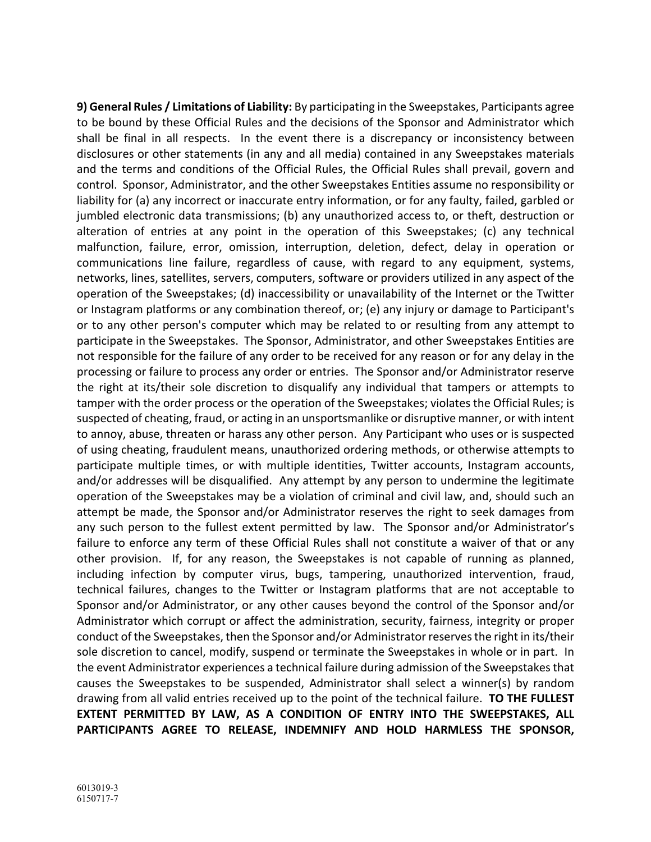**9) General Rules / Limitations of Liability:** By participating in the Sweepstakes, Participants agree to be bound by these Official Rules and the decisions of the Sponsor and Administrator which shall be final in all respects. In the event there is a discrepancy or inconsistency between disclosures or other statements (in any and all media) contained in any Sweepstakes materials and the terms and conditions of the Official Rules, the Official Rules shall prevail, govern and control. Sponsor, Administrator, and the other Sweepstakes Entities assume no responsibility or liability for (a) any incorrect or inaccurate entry information, or for any faulty, failed, garbled or jumbled electronic data transmissions; (b) any unauthorized access to, or theft, destruction or alteration of entries at any point in the operation of this Sweepstakes; (c) any technical malfunction, failure, error, omission, interruption, deletion, defect, delay in operation or communications line failure, regardless of cause, with regard to any equipment, systems, networks, lines, satellites, servers, computers, software or providers utilized in any aspect of the operation of the Sweepstakes; (d) inaccessibility or unavailability of the Internet or the Twitter or Instagram platforms or any combination thereof, or; (e) any injury or damage to Participant's or to any other person's computer which may be related to or resulting from any attempt to participate in the Sweepstakes. The Sponsor, Administrator, and other Sweepstakes Entities are not responsible for the failure of any order to be received for any reason or for any delay in the processing or failure to process any order or entries. The Sponsor and/or Administrator reserve the right at its/their sole discretion to disqualify any individual that tampers or attempts to tamper with the order process or the operation of the Sweepstakes; violates the Official Rules; is suspected of cheating, fraud, or acting in an unsportsmanlike or disruptive manner, or with intent to annoy, abuse, threaten or harass any other person. Any Participant who uses or is suspected of using cheating, fraudulent means, unauthorized ordering methods, or otherwise attempts to participate multiple times, or with multiple identities, Twitter accounts, Instagram accounts, and/or addresses will be disqualified. Any attempt by any person to undermine the legitimate operation of the Sweepstakes may be a violation of criminal and civil law, and, should such an attempt be made, the Sponsor and/or Administrator reserves the right to seek damages from any such person to the fullest extent permitted by law. The Sponsor and/or Administrator's failure to enforce any term of these Official Rules shall not constitute a waiver of that or any other provision. If, for any reason, the Sweepstakes is not capable of running as planned, including infection by computer virus, bugs, tampering, unauthorized intervention, fraud, technical failures, changes to the Twitter or Instagram platforms that are not acceptable to Sponsor and/or Administrator, or any other causes beyond the control of the Sponsor and/or Administrator which corrupt or affect the administration, security, fairness, integrity or proper conduct of the Sweepstakes, then the Sponsor and/or Administrator reserves the right in its/their sole discretion to cancel, modify, suspend or terminate the Sweepstakes in whole or in part. In the event Administrator experiences a technical failure during admission of the Sweepstakes that causes the Sweepstakes to be suspended, Administrator shall select a winner(s) by random drawing from all valid entries received up to the point of the technical failure. **TO THE FULLEST EXTENT PERMITTED BY LAW, AS A CONDITION OF ENTRY INTO THE SWEEPSTAKES, ALL PARTICIPANTS AGREE TO RELEASE, INDEMNIFY AND HOLD HARMLESS THE SPONSOR,**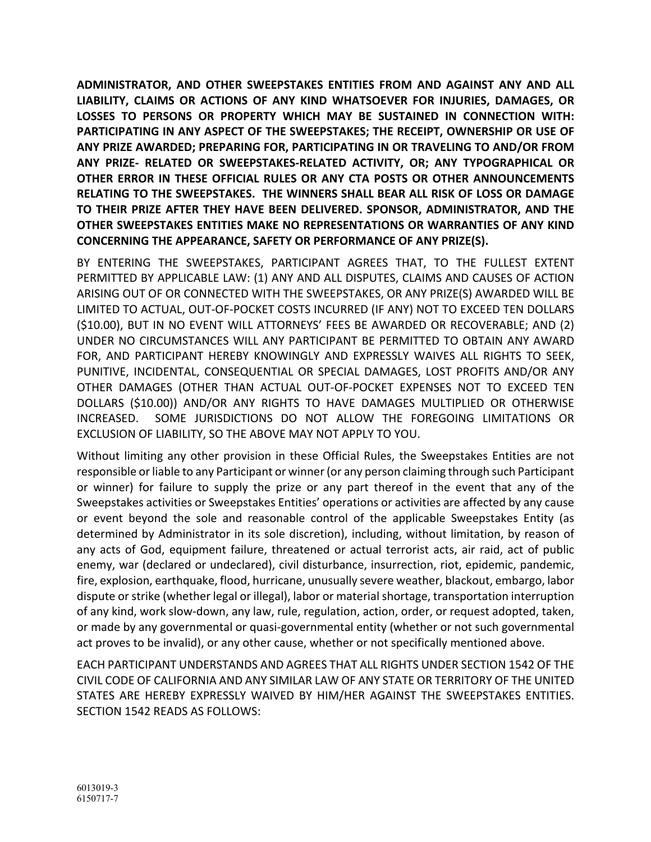**ADMINISTRATOR, AND OTHER SWEEPSTAKES ENTITIES FROM AND AGAINST ANY AND ALL LIABILITY, CLAIMS OR ACTIONS OF ANY KIND WHATSOEVER FOR INJURIES, DAMAGES, OR LOSSES TO PERSONS OR PROPERTY WHICH MAY BE SUSTAINED IN CONNECTION WITH: PARTICIPATING IN ANY ASPECT OF THE SWEEPSTAKES; THE RECEIPT, OWNERSHIP OR USE OF ANY PRIZE AWARDED; PREPARING FOR, PARTICIPATING IN OR TRAVELING TO AND/OR FROM ANY PRIZE- RELATED OR SWEEPSTAKES-RELATED ACTIVITY, OR; ANY TYPOGRAPHICAL OR OTHER ERROR IN THESE OFFICIAL RULES OR ANY CTA POSTS OR OTHER ANNOUNCEMENTS RELATING TO THE SWEEPSTAKES. THE WINNERS SHALL BEAR ALL RISK OF LOSS OR DAMAGE TO THEIR PRIZE AFTER THEY HAVE BEEN DELIVERED. SPONSOR, ADMINISTRATOR, AND THE OTHER SWEEPSTAKES ENTITIES MAKE NO REPRESENTATIONS OR WARRANTIES OF ANY KIND CONCERNING THE APPEARANCE, SAFETY OR PERFORMANCE OF ANY PRIZE(S).**

BY ENTERING THE SWEEPSTAKES, PARTICIPANT AGREES THAT, TO THE FULLEST EXTENT PERMITTED BY APPLICABLE LAW: (1) ANY AND ALL DISPUTES, CLAIMS AND CAUSES OF ACTION ARISING OUT OF OR CONNECTED WITH THE SWEEPSTAKES, OR ANY PRIZE(S) AWARDED WILL BE LIMITED TO ACTUAL, OUT-OF-POCKET COSTS INCURRED (IF ANY) NOT TO EXCEED TEN DOLLARS (\$10.00), BUT IN NO EVENT WILL ATTORNEYS' FEES BE AWARDED OR RECOVERABLE; AND (2) UNDER NO CIRCUMSTANCES WILL ANY PARTICIPANT BE PERMITTED TO OBTAIN ANY AWARD FOR, AND PARTICIPANT HEREBY KNOWINGLY AND EXPRESSLY WAIVES ALL RIGHTS TO SEEK, PUNITIVE, INCIDENTAL, CONSEQUENTIAL OR SPECIAL DAMAGES, LOST PROFITS AND/OR ANY OTHER DAMAGES (OTHER THAN ACTUAL OUT-OF-POCKET EXPENSES NOT TO EXCEED TEN DOLLARS (\$10.00)) AND/OR ANY RIGHTS TO HAVE DAMAGES MULTIPLIED OR OTHERWISE INCREASED. SOME JURISDICTIONS DO NOT ALLOW THE FOREGOING LIMITATIONS OR EXCLUSION OF LIABILITY, SO THE ABOVE MAY NOT APPLY TO YOU.

Without limiting any other provision in these Official Rules, the Sweepstakes Entities are not responsible or liable to any Participant or winner (or any person claiming through such Participant or winner) for failure to supply the prize or any part thereof in the event that any of the Sweepstakes activities or Sweepstakes Entities' operations or activities are affected by any cause or event beyond the sole and reasonable control of the applicable Sweepstakes Entity (as determined by Administrator in its sole discretion), including, without limitation, by reason of any acts of God, equipment failure, threatened or actual terrorist acts, air raid, act of public enemy, war (declared or undeclared), civil disturbance, insurrection, riot, epidemic, pandemic, fire, explosion, earthquake, flood, hurricane, unusually severe weather, blackout, embargo, labor dispute or strike (whether legal or illegal), labor or material shortage, transportation interruption of any kind, work slow-down, any law, rule, regulation, action, order, or request adopted, taken, or made by any governmental or quasi-governmental entity (whether or not such governmental act proves to be invalid), or any other cause, whether or not specifically mentioned above.

EACH PARTICIPANT UNDERSTANDS AND AGREES THAT ALL RIGHTS UNDER SECTION 1542 OF THE CIVIL CODE OF CALIFORNIA AND ANY SIMILAR LAW OF ANY STATE OR TERRITORY OF THE UNITED STATES ARE HEREBY EXPRESSLY WAIVED BY HIM/HER AGAINST THE SWEEPSTAKES ENTITIES. SECTION 1542 READS AS FOLLOWS: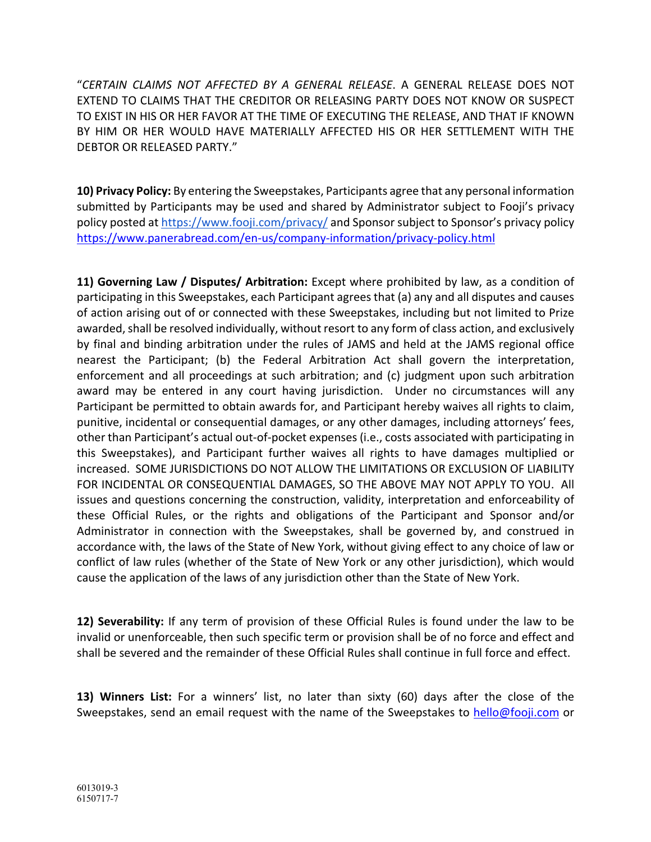"*CERTAIN CLAIMS NOT AFFECTED BY A GENERAL RELEASE*. A GENERAL RELEASE DOES NOT EXTEND TO CLAIMS THAT THE CREDITOR OR RELEASING PARTY DOES NOT KNOW OR SUSPECT TO EXIST IN HIS OR HER FAVOR AT THE TIME OF EXECUTING THE RELEASE, AND THAT IF KNOWN BY HIM OR HER WOULD HAVE MATERIALLY AFFECTED HIS OR HER SETTLEMENT WITH THE DEBTOR OR RELEASED PARTY."

**10) Privacy Policy:** By entering the Sweepstakes, Participants agree that any personal information submitted by Participants may be used and shared by Administrator subject to Fooji's privacy policy posted at https://www.fooji.com/privacy/ and Sponsor subject to Sponsor's privacy policy https://www.panerabread.com/en-us/company-information/privacy-policy.html

**11) Governing Law / Disputes/ Arbitration:** Except where prohibited by law, as a condition of participating in this Sweepstakes, each Participant agrees that (a) any and all disputes and causes of action arising out of or connected with these Sweepstakes, including but not limited to Prize awarded, shall be resolved individually, without resort to any form of class action, and exclusively by final and binding arbitration under the rules of JAMS and held at the JAMS regional office nearest the Participant; (b) the Federal Arbitration Act shall govern the interpretation, enforcement and all proceedings at such arbitration; and (c) judgment upon such arbitration award may be entered in any court having jurisdiction. Under no circumstances will any Participant be permitted to obtain awards for, and Participant hereby waives all rights to claim, punitive, incidental or consequential damages, or any other damages, including attorneys' fees, other than Participant's actual out-of-pocket expenses (i.e., costs associated with participating in this Sweepstakes), and Participant further waives all rights to have damages multiplied or increased. SOME JURISDICTIONS DO NOT ALLOW THE LIMITATIONS OR EXCLUSION OF LIABILITY FOR INCIDENTAL OR CONSEQUENTIAL DAMAGES, SO THE ABOVE MAY NOT APPLY TO YOU. All issues and questions concerning the construction, validity, interpretation and enforceability of these Official Rules, or the rights and obligations of the Participant and Sponsor and/or Administrator in connection with the Sweepstakes, shall be governed by, and construed in accordance with, the laws of the State of New York, without giving effect to any choice of law or conflict of law rules (whether of the State of New York or any other jurisdiction), which would cause the application of the laws of any jurisdiction other than the State of New York.

**12) Severability:** If any term of provision of these Official Rules is found under the law to be invalid or unenforceable, then such specific term or provision shall be of no force and effect and shall be severed and the remainder of these Official Rules shall continue in full force and effect.

**13) Winners List:** For a winners' list, no later than sixty (60) days after the close of the Sweepstakes, send an email request with the name of the Sweepstakes to hello@fooji.com or